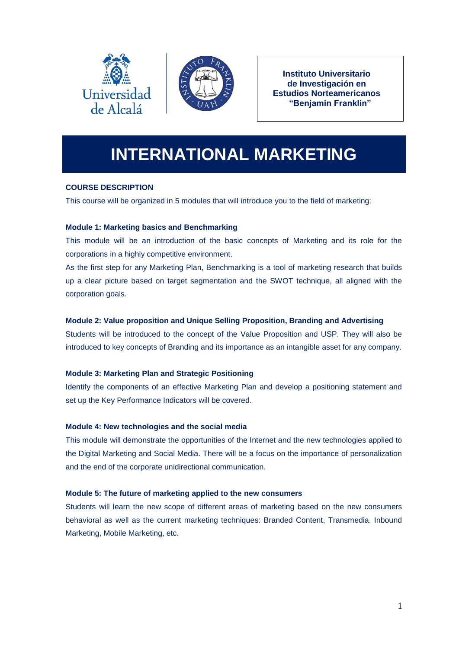



**Instituto Universitario de Investigación en Estudios Norteamericanos "Benjamin Franklin"**

# **INTERNATIONAL MARKETING**

# **COURSE DESCRIPTION**

This course will be organized in 5 modules that will introduce you to the field of marketing:

# **Module 1: Marketing basics and Benchmarking**

This module will be an introduction of the basic concepts of Marketing and its role for the corporations in a highly competitive environment.

As the first step for any Marketing Plan, Benchmarking is a tool of marketing research that builds up a clear picture based on target segmentation and the SWOT technique, all aligned with the corporation goals.

# **Module 2: Value proposition and Unique Selling Proposition, Branding and Advertising**

Students will be introduced to the concept of the Value Proposition and USP. They will also be introduced to key concepts of Branding and its importance as an intangible asset for any company.

# **Module 3: Marketing Plan and Strategic Positioning**

Identify the components of an effective Marketing Plan and develop a positioning statement and set up the Key Performance Indicators will be covered.

# **Module 4: New technologies and the social media**

This module will demonstrate the opportunities of the Internet and the new technologies applied to the Digital Marketing and Social Media. There will be a focus on the importance of personalization and the end of the corporate unidirectional communication.

# **Module 5: The future of marketing applied to the new consumers**

Students will learn the new scope of different areas of marketing based on the new consumers behavioral as well as the current marketing techniques: Branded Content, Transmedia, Inbound Marketing, Mobile Marketing, etc.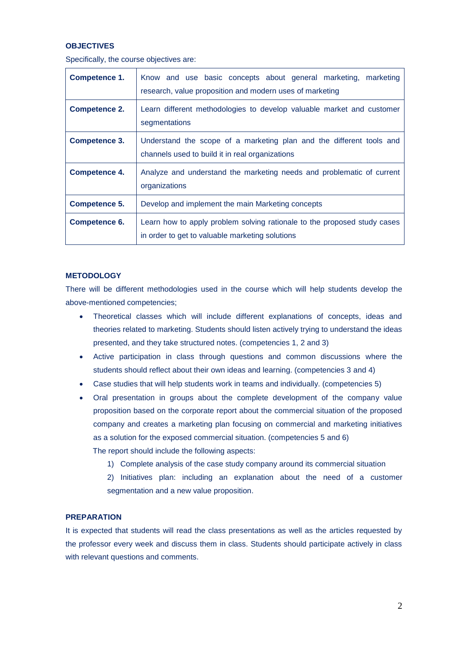### **OBJECTIVES**

Specifically, the course objectives are:

| Competence 1.        | Know and use basic concepts about general marketing, marketing<br>research, value proposition and modern uses of marketing  |  |
|----------------------|-----------------------------------------------------------------------------------------------------------------------------|--|
| <b>Competence 2.</b> | Learn different methodologies to develop valuable market and customer<br>segmentations                                      |  |
| Competence 3.        | Understand the scope of a marketing plan and the different tools and<br>channels used to build it in real organizations     |  |
| <b>Competence 4.</b> | Analyze and understand the marketing needs and problematic of current<br>organizations                                      |  |
| <b>Competence 5.</b> | Develop and implement the main Marketing concepts                                                                           |  |
| Competence 6.        | Learn how to apply problem solving rationale to the proposed study cases<br>in order to get to valuable marketing solutions |  |

#### **METODOLOGY**

There will be different methodologies used in the course which will help students develop the above-mentioned competencies;

- Theoretical classes which will include different explanations of concepts, ideas and theories related to marketing. Students should listen actively trying to understand the ideas presented, and they take structured notes. (competencies 1, 2 and 3)
- Active participation in class through questions and common discussions where the students should reflect about their own ideas and learning. (competencies 3 and 4)
- Case studies that will help students work in teams and individually. (competencies 5)
- Oral presentation in groups about the complete development of the company value proposition based on the corporate report about the commercial situation of the proposed company and creates a marketing plan focusing on commercial and marketing initiatives as a solution for the exposed commercial situation. (competencies 5 and 6) The report should include the following aspects:
	- 1) Complete analysis of the case study company around its commercial situation
	- 2) Initiatives plan: including an explanation about the need of a customer segmentation and a new value proposition.

#### **PREPARATION**

It is expected that students will read the class presentations as well as the articles requested by the professor every week and discuss them in class. Students should participate actively in class with relevant questions and comments.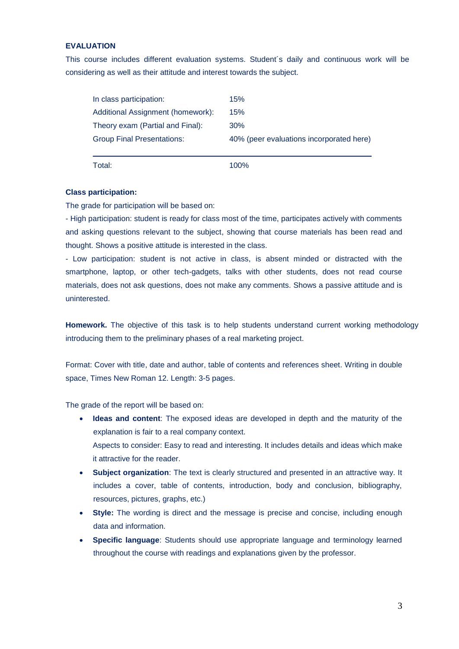# **EVALUATION**

This course includes different evaluation systems. Student´s daily and continuous work will be considering as well as their attitude and interest towards the subject.

| In class participation:           | 15%                                      |  |
|-----------------------------------|------------------------------------------|--|
| Additional Assignment (homework): | 15%                                      |  |
| Theory exam (Partial and Final):  | 30%                                      |  |
| <b>Group Final Presentations:</b> | 40% (peer evaluations incorporated here) |  |
|                                   |                                          |  |
| Total:                            | 100%                                     |  |

#### **Class participation:**

The grade for participation will be based on:

- High participation: student is ready for class most of the time, participates actively with comments and asking questions relevant to the subject, showing that course materials has been read and thought. Shows a positive attitude is interested in the class.

- Low participation: student is not active in class, is absent minded or distracted with the smartphone, laptop, or other tech-gadgets, talks with other students, does not read course materials, does not ask questions, does not make any comments. Shows a passive attitude and is uninterested.

**Homework.** The objective of this task is to help students understand current working methodology introducing them to the preliminary phases of a real marketing project.

Format: Cover with title, date and author, table of contents and references sheet. Writing in double space, Times New Roman 12. Length: 3-5 pages.

The grade of the report will be based on:

- **Ideas and content**: The exposed ideas are developed in depth and the maturity of the explanation is fair to a real company context. Aspects to consider: Easy to read and interesting. It includes details and ideas which make it attractive for the reader.
- **Subject organization**: The text is clearly structured and presented in an attractive way. It includes a cover, table of contents, introduction, body and conclusion, bibliography, resources, pictures, graphs, etc.)
- **Style:** The wording is direct and the message is precise and concise, including enough data and information.
- **Specific language**: Students should use appropriate language and terminology learned throughout the course with readings and explanations given by the professor.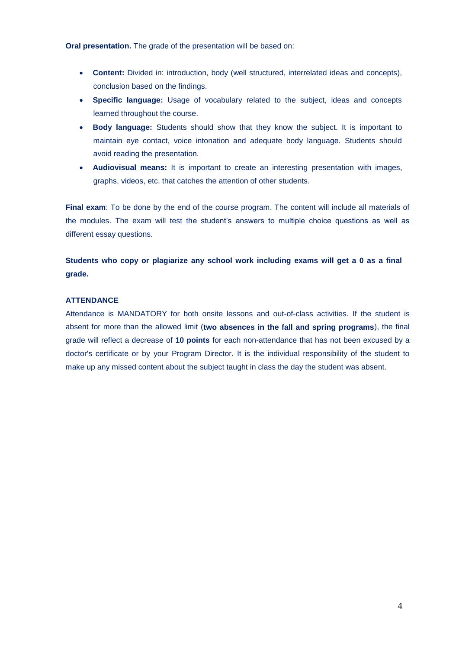**Oral presentation.** The grade of the presentation will be based on:

- **Content:** Divided in: introduction, body (well structured, interrelated ideas and concepts), conclusion based on the findings.
- **Specific language:** Usage of vocabulary related to the subject, ideas and concepts learned throughout the course.
- **Body language:** Students should show that they know the subject. It is important to maintain eye contact, voice intonation and adequate body language. Students should avoid reading the presentation.
- **Audiovisual means:** It is important to create an interesting presentation with images, graphs, videos, etc. that catches the attention of other students.

**Final exam**: To be done by the end of the course program. The content will include all materials of the modules. The exam will test the student's answers to multiple choice questions as well as different essay questions.

# **Students who copy or plagiarize any school work including exams will get a 0 as a final grade.**

# **ATTENDANCE**

Attendance is MANDATORY for both onsite lessons and out-of-class activities. If the student is absent for more than the allowed limit (**two absences in the fall and spring programs**), the final grade will reflect a decrease of **10 points** for each non-attendance that has not been excused by a doctor's certificate or by your Program Director. It is the individual responsibility of the student to make up any missed content about the subject taught in class the day the student was absent.